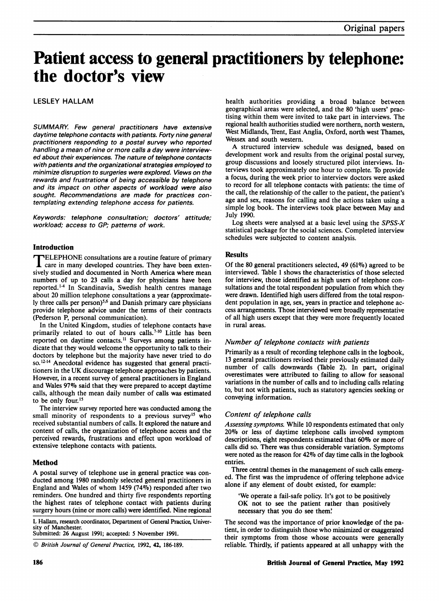# Patient access to general practitioners by telephone: the doctor's view

# LESLEY HALLAM

SUMMARY. Few general practitioners have extensive daytime telephone contacts with patients. Forty nine general practitioners responding to a postal survey who reported handling a mean of nine or more calls a day were interviewed about their experiences. The nature of telephone contacts with patients and the organizational strategies employed to minimize disruption to surgeries were explored. Views on the rewards and frustrations of being accessible by telephone and its impact on other aspects of workload were also sought. Recommendations are made for practices contemplating extending telephone access for patients.

Keywords: telephone consultation; doctors' attitude; workload; access to GP; patterns of work.

## Introduction

**IELEPHONE** consultations are a routine feature of primary care in many developed countries. They have been extensively studied and documented in North America where mean numbers of up to 23 calls a day for physicians have been reported.'14 In Scandinavia, Swedish health centres manage about 20 million telephone consultations a year (approximately three calls per person $5.6$  and Danish primary care physicians provide telephone advice under the terms of their contracts (Pederson P, personal communication).

In the United Kingdom, studies of telephone contacts have primarily related to out of hours calls.<sup>7-10</sup> Little has been reported on daytime contacts.<sup>11</sup> Surveys among patients indicate that they would welcome the opportunity to talk to their doctors by telephone but the majority have never tried to do so.<sup>12-14</sup> Anecdotal evidence has suggested that general practitioners in the UK discourage telephone approaches by patients. However, in a recent survey of general practitioners in England and Wales 97% said that they were prepared to accept daytime calls, although the mean daily number of calls was estimated to be only four.<sup>15</sup>

The interview survey reported here was conducted among the small minority of respondents to a previous survey<sup>15</sup> who received substantial numbers of calls. It explored the nature and content of calls, the organization of telephone access and the perceived rewards, frustrations and effect upon workload of extensive telephone contacts with patients.

## Method

A postal survey of telephone use in general practice was conducted among 1980 randomly selected general practitioners in England and Wales of whom 1459 (74%) responded after two reminders. One hundred and thirty five respondents reporting the highest rates of telephone contact with patients during surgery hours (nine or more calls) were identified. Nine regional

L Hallam, research coordinator, Department of General Practice, University of Manchester.

Submitted: 26 August 1991; accepted: 5 November 1991.

health authorities providing a broad balance between geographical areas were selected, and the 80 'high users' practising within them were invited to take part in interviews. The regional health authorities studied were northern, north western, West Midlands, Trent, East Anglia, Oxford, north west Thames, Wessex and south western.

A structured interview schedule was designed, based on development work and results from the original postal survey, group discussions and loosely structured pilot interviews. Interviews took approximately one hour to complete. To provide a focus, during the week prior to interview doctors were asked to record for all telephone contacts with patients:. the time of the call, the relationship of the caller to the patient, the patient's age and sex, reasons for calling and the actions taken using a simple log book. The interviews took place between May and July 1990.

Log sheets were analysed at a basic level using the  $SPSS-X$ statistical package for the social sciences. Completed interview schedules were subjected to content analysis.

## **Results**

Of the 80 general practitioners selected, 49 (61%) agreed to be interviewed. Table 1 shows the characteristics of those selected for interview, those identified as high users of telephone consultations and the total respondent population from which they were drawn. Identified high users differed from the total respondent population in age, sex, years in practice and telephone access arrangements. Those interviewed were broadly representative of all high users except that they were more frequently located in rural areas.

#### Number of telephone contacts with patients

Primarily as a result of recording telephone calls in the logbook, 13 general practitioners revised their previously estimated daily number of calls downwards (Table 2). In part, original overestimates were attributed to failing to allow for seasonal variations in the number of calls and to including calls relating to, but not with patients, such as statutory agencies seeking or conveying information.

#### Content of telephone calls

Assessing symptoms. While 10 respondents estimated that only <sup>2007</sup> or less of daytime telephone calls involved symptom descriptions, eight respondents estimated that 60% or more of calls did so. There was thus considerable variation. Symptoms were noted as the reason for 427o of day time calls in the logbook entries.

Three central themes in the management of such calls emerged. The first was the imprudence of offering telephone advice alone if any element of doubt existed, for example:

'We operate a fail-safe policy. It's got to be positively OK not to see the patient rather than positively necessary that you do see them'

The second was the importance of prior knowledge of the patient, in order to distinguish those who minimized or exaggerated their symptoms from those whose accounts were generally reliable. Thirdly, if patients appeared at all unhappy with the

<sup>©</sup> British Journal of General Practice, 1992, 42, 186-189.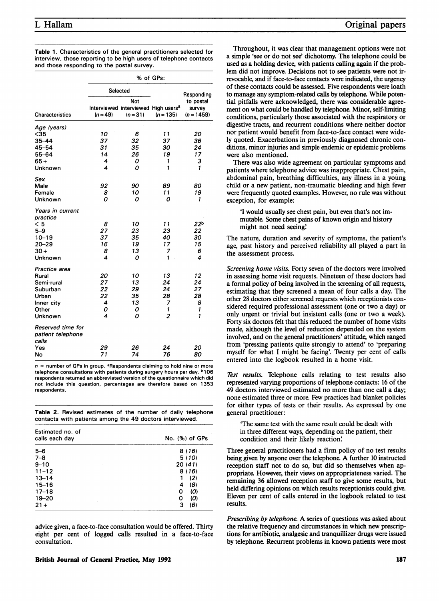| <b>Table 1.</b> Characteristics of the general practitioners selected for |  |
|---------------------------------------------------------------------------|--|
| interview, those reporting to be high users of telephone contacts         |  |
| and those responding to the postal survey.                                |  |

|                                                 | % of GPs:  |                                                                      |                |                                     |
|-------------------------------------------------|------------|----------------------------------------------------------------------|----------------|-------------------------------------|
|                                                 | Selected   |                                                                      |                | Responding                          |
| <b>Characteristics</b>                          | $(n = 49)$ | Not<br>Interviewed interviewed High users <sup>a</sup><br>$(n = 31)$ | $(n = 135)$    | to postal<br>survev<br>$(n = 1459)$ |
| Age (years)                                     |            |                                                                      |                |                                     |
| $<$ 35                                          | 10         | 6                                                                    | 11             | 20                                  |
| 35-44                                           | 37         | 32                                                                   | 37             | 36                                  |
| 45-54                                           | 31         | 35                                                                   | 30             | 24                                  |
| 55-64                                           | 14         | 26                                                                   | 19             | 17                                  |
| $65+$                                           | 4          | ο                                                                    | 1              | 3                                   |
| Unknown                                         | 4          | ο                                                                    | 1              | 1                                   |
| Sex                                             |            |                                                                      |                |                                     |
| Male                                            | 92         | 90                                                                   | 89             | 80                                  |
| Female                                          | 8          | 10                                                                   | 11             | 19                                  |
| Unknown                                         | Ω          | ο                                                                    | Ο              | 1                                   |
| Years in current<br>practice                    |            |                                                                      |                |                                     |
| < 5                                             | 8          | 10                                                                   | 11             | 22 <sup>b</sup>                     |
| $5 - 9$                                         | 27         | 23                                                                   | 23             | 22                                  |
| $10 - 19$                                       | 37         | 35                                                                   | 40             | 30                                  |
| $20 - 29$                                       | 16         | 19                                                                   | 17             | 15                                  |
| $30 +$                                          | 8          | 13                                                                   | 7              | 6                                   |
| Unknown                                         | 4          | ο                                                                    | 1              | 4                                   |
| Practice area                                   |            |                                                                      |                |                                     |
| Rural                                           | 20         | 10                                                                   | 13             | 12                                  |
| Semi-rural                                      | 27         | 13                                                                   | 24             | 24                                  |
| Suburban                                        | 22         | 29                                                                   | 24             | 27                                  |
| Urban                                           | 22         | 35                                                                   | 28             | 28                                  |
| Inner city                                      | 4          | 13                                                                   | 7              | 8                                   |
| Other                                           | 0          | 0                                                                    | 1              | 1                                   |
| Unknown                                         | 4          | ο                                                                    | $\overline{c}$ | $\mathbf{1}$                        |
| Reserved time for<br>patient telephone<br>calls |            |                                                                      |                |                                     |
| Yes                                             | 29         | 26                                                                   | 24             | 20                                  |
| No                                              | 71         | 74                                                                   | 76             | 80                                  |

 $n =$  number of GPs in group. <sup>a</sup>Respondents claiming to hold nine or more telephone consultations with patients during surgery hours per day. **b106** respondents returned an abbreviated version of the questionnaire which did not include this question, percentages are therefore based on 1353 respondents.

Table 2. Revised estimates of the number of daily telephone contacts with patients among the 49 doctors interviewed.

| Estimated no. of<br>calls each day | No. (%) of GPs |  |
|------------------------------------|----------------|--|
| $5 - 6$                            | 8 (16)         |  |
| $7 - 8$                            | 5 (10)         |  |
| $9 - 10$                           | 20 (41)        |  |
| $11 - 12$                          | 8 (16)         |  |
| $13 - 14$                          | (2)            |  |
| $15 - 16$                          | (8)<br>4       |  |
| $17 - 18$                          | O<br>(0)       |  |
| $19 - 20$                          | (0)<br>O       |  |
| $21 +$                             | (6)<br>3       |  |

advice given, a face-to-face consultation would be offered. Thirty eight per cent of logged calls resulted in a face-to-face consultation.

Throughout, it was clear that management options were not a simple 'see or do not see' dichotomy. The telephone could be used as a holding device, with patients calling again if the problem did not improve. Decisions not to see patients were not irrevocable, and if face-to-face contacts were indicated, the urgency of these contacts could be assessed. Five respondents were loath to manage any symptom-related calls by telephone. While potential pitfalls were acknowledged, there was considerable agreement on what could be handled by telephone. Minor, self-limiting conditions, particularly those associated with the respiratory or digestive tracts, and recurrent conditions where neither doctor nor patient would benefit from face-to-face contact were widely quoted. Exacerbations in previously diagnosed chronic conditions, minor injuries and simple endemic or epidemic problems were also mentioned.

There was also wide agreement on particular symptoms and patients where telephone advice was inappropriate. Chest pain, abdominal pain, breathing difficulties, any illness in a young child or a new patient, non-traumatic bleeding and high fever were frequently quoted examples. However, no rule was without exception, for example:

'I would usually see chest pain, but even that's not immutable. Some chest pains of known origin and history might not need seeing:

The nature, duration and severity of symptoms, the patient's age, past history and perceived reliability all played a part in the assessment process.

Screening home visits. Forty seven of the doctors were involved in assessing home visit requests. Nineteen of these doctors had a formal policy of being involved in the screening of all requests, estimating that they screened a mean of four calls a day. The other 28 doctors either screened requests which receptionists considered required professional assessment (one or two a day) or only urgent or trivial but insistent calls (one or two a week). Forty six doctors felt that this reduced the number of home visits made, although the level of reduction depended on the system involved, and on the general practitioners' attitude, which ranged from 'pressing patients quite strongly to attend' to 'preparing myself for what I might be facing'. Twenty per cent of calls entered into the logbook resulted in a home visit.

Test results. Telephone calls relating to test results also represented varying proportions of telephone contacts: 16 of the 49 doctors interviewed estimated no more than one call a day; none estimated three or more. Few practices had blanket policies for either types of tests or their results. As expressed by one general practitioner:

'The same test with the same result could be dealt with in three different ways, depending on the patient, their condition and their likely reaction:

Three general practitioners had a firm policy of no test results being given by anyone over the telephone. A further <sup>10</sup> instructed reception staff not to do so, but did so themselves when appropriate. However, their views on appropriateness varied. The remaining 36 allowed reception staff to give some results, but held differing opinions on which results receptionists could give. Eleven per cent of calls entered in the logbook related to test results.

Prescribing by telephone. A series of questions was asked about the relative frequency and circumstances in which new prescriptions for antibiotic, analgesic and tranquilizer drugs were issued by telephone. Recurrent problems in known patients were most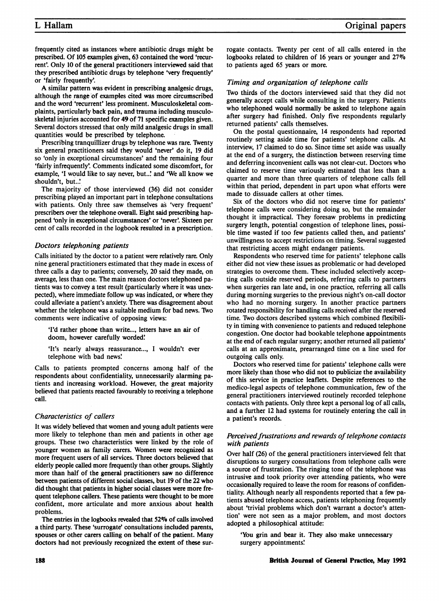frequently cited as instances where antibiotic drugs might be prescribed. Of 105 examples given, 63 contained the word 'recurrent'. Only 10 of the general practitioners interviewed said that they prescribed antibiotic drugs by telephone 'very frequently' or 'fairly frequently'

A similar pattern was evident in prescribing analgesic drugs, although the range of examples cited was more circumscribed and the word 'recurrent' less prominent. Musculoskeletal complaints, particularly back pain, and trauma including musculoskeletal injuries accounted for 49 of 71 specific examples given. Several doctors stressed that only mild analgesic drugs in small quantities would be prescribed by telephone.

Prescribing tranquillizer drugs by telephone was rare. Twenty six general practitioners said they would 'never' do it, 19 did so 'only in exceptional circumstances' and the remaining four 'fairly infrequently'. Comments indicated some discomfort, for example, 'I would like to say never, but..' and 'We all know we shouldn't, but..'

The majority of those interviewed (36) did not consider prescribing played an important part in telephone consultations with patients. Only three saw themselves as 'very frequent' prescribers over the telephone overall. Eight said prescribing happened 'only in exceptional circumstances' or 'never. Sixteen per cent of calls recorded in the logbook resulted in a prescription.

#### Doctors telephoning patients

Calls initiated by the doctor to a patient were relatively rare. Only nine general practitioners estimated that they made in excess of three calls a day to patients; conversely, 20 said they made, on average, less than one. The main reason doctors telephoned patients was to convey a test result (particularly where it was unexpected), where immediate follow up was indicated, or where they could alleviate a patient's anxiety. There was disagreement about whether the telephone was a suitable medium for bad news. Two comments were indicative of opposing views:

'I'd rather phone than write..., letters have an air of doom, however carefully worded!

'It's nearly always reassurance..., <sup>I</sup> wouldn't ever telephone with bad news.

Calls to patients prompted concerns among half of the respondents about confidentiality, unnecessarily alarming patients and increasing workload. However, the great majority believed that patients reacted favourably to receiving a telephone call.

## Characteristics of callers

It was widely believed that women and young adult patients were more likely to telephone than men and patients in other age groups. These two characteristics were linked by the role of younger women as family carers. Women were recognized as more frequent users of all services. Three doctors believed that elderly people called more frequently than other groups. Slightly more than half of the general practitioners saw no difference between patients of different social classes, but 19 of the 22 who did thought that patients in higher social classes were more frequent telephone callers. These patients were thought to be more confident, more articulate and more anxious about health problems.

The entries in the logbooks revealed that 52% of calls involved a third party. These 'surrogate' consultations included parents, spouses or other carers calling on behalf of the patient. Many doctors had not previously recognized the extent of these sur-

rogate contacts. TWenty per cent of all calls entered in the logbooks related to children of <sup>16</sup> years or younger and 27% to patients aged 65 years or more.

#### Timing and organization of telephone calls

TWo thirds of the doctors interviewed said that they did not generally accept calls while consulting in the surgery. Patients who telephoned would normally be asked to telephone again after surgery had finished. Only five respondents regularly returned patients' calls themselves.

On the postal questionnaire, <sup>14</sup> respondents had reported routinely setting aside time for patients' telephone calls. At interview, 17 claimed to do so. Since time set aside was usually at the end of a surgery, the distinction between reserving time and deferring inconvenient calls was not clear-cut. Doctors who claimed to reserve time variously estimated that less than a quarter and more than three quarters of telephone calls fell within that period, dependent in part upon what efforts were made to dissuade callers at other times.

Six of the doctors who did not reserve time for patients' telephone calls were considering doing so, but the remainder thought it impractical. They foresaw problems in predicting surgery length, potential congestion of telephone lines, possible time wasted if too few patients called then, and patients' unwillingness to accept restrictions on timing. Several suggested that restricting access might endanger patients.

Respondents who reserved time for patients' telephone calls either did not view these issues as problematic or had developed strategies to overcome them. These included selectively accepting calls outside reserved periods, referring calls to partners when surgeries ran late and, in one practice, referring all calls during morning surgeries to the previous night's on-call doctor who had no morning surgery. In another practice partners rotated responsibility for handling calls received after the reserved time. Two doctors described systems which combined flexibility in timing with convenience to patients and reduced telephone congestion. One doctor had bookable telephone appointments at the end of each regular surgery; another returned all patients' calls at an approximate, prearranged time on a line used for outgoing calls only.

Doctors who reserved time for patients' telephone calls were more likely than those who did not to publicize the availability of this service in practice leaflets. Despite references to the medico-legal aspects of telephone communication, few of the general practitioners interviewed routinely recorded telephone contacts with patients. Only three kept a personal log of all calls, and a further 12 had systems for routinely entering the call in a patient's records.

## Perceived frustrations and rewards of telephone contacts with patients

Over half (26) of the general practitioners interviewed felt that disruptions to surgery consultations from telephone calls were a source of frustration. The ringing tone of the telephone was intrusive and took priority over attending patients, who were occasionally required to leave the room for reasons of confidentiality. Although nearly all respondents reported that a few patients abused telephone access, patients telephoning frequently about 'trivial problems which don't warrant a doctor's attention' were not seen as a major problem, and most doctors adopted a philosophical attitude:

'You grin and bear it. They also make unnecessary surgery appointments!